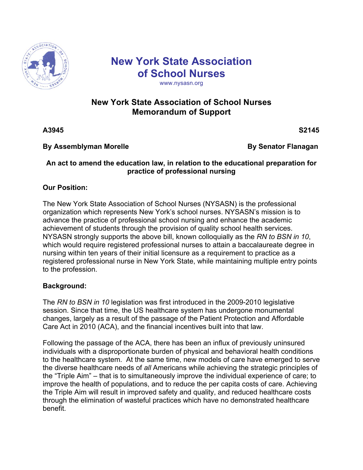

# **New York State Association of School Nurses**

#### www.nysasn.org

## **New York State Association of School Nurses Memorandum of Support**

**A**3945 S2145

#### **By Assemblyman Morelle Constrained By Senator Flanagan**

#### **An act to amend the education law, in relation to the educational preparation for practice of professional nursing**

### **Our Position:**

The New York State Association of School Nurses (NYSASN) is the professional organization which represents New York's school nurses. NYSASN's mission is to advance the practice of professional school nursing and enhance the academic achievement of students through the provision of quality school health services. NYSASN strongly supports the above bill, known colloquially as the *RN to BSN in 10*, which would require registered professional nurses to attain a baccalaureate degree in nursing within ten years of their initial licensure as a requirement to practice as a registered professional nurse in New York State, while maintaining multiple entry points to the profession.

#### **Background:**

The *RN to BSN in 10* legislation was first introduced in the 2009-2010 legislative session. Since that time, the US healthcare system has undergone monumental changes, largely as a result of the passage of the Patient Protection and Affordable Care Act in 2010 (ACA), and the financial incentives built into that law.

Following the passage of the ACA, there has been an influx of previously uninsured individuals with a disproportionate burden of physical and behavioral health conditions to the healthcare system. At the same time, new models of care have emerged to serve the diverse healthcare needs of *all* Americans while achieving the strategic principles of the "Triple Aim" – that is to simultaneously improve the individual experience of care; to improve the health of populations, and to reduce the per capita costs of care. Achieving the Triple Aim will result in improved safety and quality, and reduced healthcare costs through the elimination of wasteful practices which have no demonstrated healthcare benefit.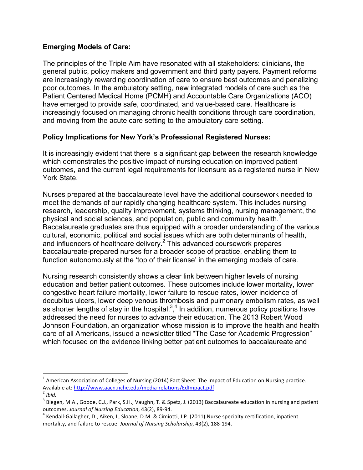#### **Emerging Models of Care:**

The principles of the Triple Aim have resonated with all stakeholders: clinicians, the general public, policy makers and government and third party payers. Payment reforms are increasingly rewarding coordination of care to ensure best outcomes and penalizing poor outcomes. In the ambulatory setting, new integrated models of care such as the Patient Centered Medical Home (PCMH) and Accountable Care Organizations (ACO) have emerged to provide safe, coordinated, and value-based care. Healthcare is increasingly focused on managing chronic health conditions through care coordination, and moving from the acute care setting to the ambulatory care setting.

#### **Policy Implications for New York's Professional Registered Nurses:**

It is increasingly evident that there is a significant gap between the research knowledge which demonstrates the positive impact of nursing education on improved patient outcomes, and the current legal requirements for licensure as a registered nurse in New York State.

Nurses prepared at the baccalaureate level have the additional coursework needed to meet the demands of our rapidly changing healthcare system. This includes nursing research, leadership, quality improvement, systems thinking, nursing management, the physical and social sciences, and population, public and community health.<sup>1</sup> Baccalaureate graduates are thus equipped with a broader understanding of the various cultural, economic, political and social issues which are both determinants of health, and influencers of healthcare delivery.2 This advanced coursework prepares baccalaureate-prepared nurses for a broader scope of practice, enabling them to function autonomously at the 'top of their license' in the emerging models of care.

Nursing research consistently shows a clear link between higher levels of nursing education and better patient outcomes. These outcomes include lower mortality, lower congestive heart failure mortality, lower failure to rescue rates, lower incidence of decubitus ulcers, lower deep venous thrombosis and pulmonary embolism rates, as well as shorter lengths of stay in the hospital. $3,4$  In addition, numerous policy positions have addressed the need for nurses to advance their education. The 2013 Robert Wood Johnson Foundation, an organization whose mission is to improve the health and health care of all Americans, issued a newsletter titled "The Case for Academic Progression" which focused on the evidence linking better patient outcomes to baccalaureate and

 $1$  American Association of Colleges of Nursing (2014) Fact Sheet: The Impact of Education on Nursing practice. Available at: http://www.aacn.nche.edu/media-relations/EdImpact.pdf<sup>2</sup> *Ibid.* 

 $3$  Blegen, M.A., Goode, C.J., Park, S.H., Vaughn, T. & Spetz, J. (2013) Baccalaureate education in nursing and patient outcomes. *Journal of Nursing Education*, 43(2), 89-94.<br><sup>4</sup> Kendall-Gallagher, D., Aiken, L, Sloane, D.M. & Cimiotti, J.P. (2011) Nurse specialty certification, inpatient

mortality, and failure to rescue. *Journal of Nursing Scholarship*, 43(2), 188-194.